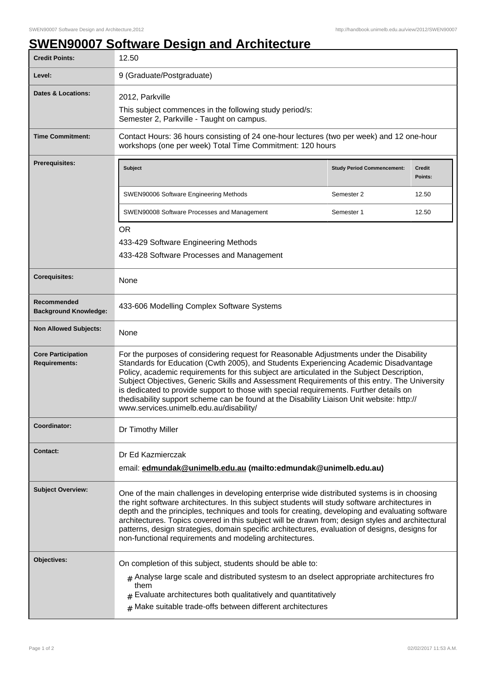## **SWEN90007 Software Design and Architecture**

| <b>Credit Points:</b>                             | 12.50                                                                                                                                                                                                                                                                                                                                                                                                                                                                                                                                                                                                           |                                   |                          |
|---------------------------------------------------|-----------------------------------------------------------------------------------------------------------------------------------------------------------------------------------------------------------------------------------------------------------------------------------------------------------------------------------------------------------------------------------------------------------------------------------------------------------------------------------------------------------------------------------------------------------------------------------------------------------------|-----------------------------------|--------------------------|
| Level:                                            | 9 (Graduate/Postgraduate)                                                                                                                                                                                                                                                                                                                                                                                                                                                                                                                                                                                       |                                   |                          |
| <b>Dates &amp; Locations:</b>                     | 2012, Parkville<br>This subject commences in the following study period/s:<br>Semester 2, Parkville - Taught on campus.                                                                                                                                                                                                                                                                                                                                                                                                                                                                                         |                                   |                          |
| <b>Time Commitment:</b>                           | Contact Hours: 36 hours consisting of 24 one-hour lectures (two per week) and 12 one-hour<br>workshops (one per week) Total Time Commitment: 120 hours                                                                                                                                                                                                                                                                                                                                                                                                                                                          |                                   |                          |
| <b>Prerequisites:</b>                             | <b>Subject</b>                                                                                                                                                                                                                                                                                                                                                                                                                                                                                                                                                                                                  | <b>Study Period Commencement:</b> | <b>Credit</b><br>Points: |
|                                                   | SWEN90006 Software Engineering Methods                                                                                                                                                                                                                                                                                                                                                                                                                                                                                                                                                                          | Semester 2                        | 12.50                    |
|                                                   | SWEN90008 Software Processes and Management                                                                                                                                                                                                                                                                                                                                                                                                                                                                                                                                                                     | Semester 1                        | 12.50                    |
|                                                   | <b>OR</b><br>433-429 Software Engineering Methods<br>433-428 Software Processes and Management                                                                                                                                                                                                                                                                                                                                                                                                                                                                                                                  |                                   |                          |
| <b>Corequisites:</b>                              | None                                                                                                                                                                                                                                                                                                                                                                                                                                                                                                                                                                                                            |                                   |                          |
| Recommended<br><b>Background Knowledge:</b>       | 433-606 Modelling Complex Software Systems                                                                                                                                                                                                                                                                                                                                                                                                                                                                                                                                                                      |                                   |                          |
| <b>Non Allowed Subjects:</b>                      | None                                                                                                                                                                                                                                                                                                                                                                                                                                                                                                                                                                                                            |                                   |                          |
| <b>Core Participation</b><br><b>Requirements:</b> | For the purposes of considering request for Reasonable Adjustments under the Disability<br>Standards for Education (Cwth 2005), and Students Experiencing Academic Disadvantage<br>Policy, academic requirements for this subject are articulated in the Subject Description,<br>Subject Objectives, Generic Skills and Assessment Requirements of this entry. The University<br>is dedicated to provide support to those with special requirements. Further details on<br>thedisability support scheme can be found at the Disability Liaison Unit website: http://<br>www.services.unimelb.edu.au/disability/ |                                   |                          |
| Coordinator:                                      | Dr Timothy Miller                                                                                                                                                                                                                                                                                                                                                                                                                                                                                                                                                                                               |                                   |                          |
| <b>Contact:</b>                                   | Dr Ed Kazmierczak<br>email: edmundak@unimelb.edu.au (mailto:edmundak@unimelb.edu.au)                                                                                                                                                                                                                                                                                                                                                                                                                                                                                                                            |                                   |                          |
| <b>Subject Overview:</b>                          | One of the main challenges in developing enterprise wide distributed systems is in choosing<br>the right software architectures. In this subject students will study software architectures in<br>depth and the principles, techniques and tools for creating, developing and evaluating software<br>architectures. Topics covered in this subject will be drawn from; design styles and architectural<br>patterns, design strategies, domain specific architectures, evaluation of designs, designs for<br>non-functional requirements and modeling architectures.                                             |                                   |                          |
| Objectives:                                       | On completion of this subject, students should be able to:<br>$_{\#}$ Analyse large scale and distributed systesm to an dselect appropriate architectures fro<br>them<br>Evaluate architectures both qualitatively and quantitatively<br>$#$ Make suitable trade-offs between different architectures                                                                                                                                                                                                                                                                                                           |                                   |                          |